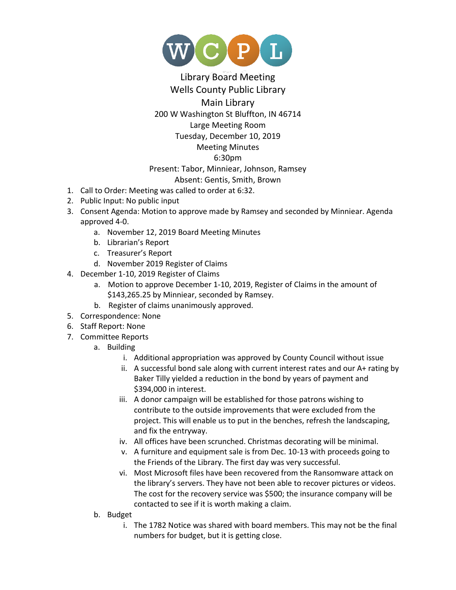

## Library Board Meeting Wells County Public Library Main Library 200 W Washington St Bluffton, IN 46714 Large Meeting Room Tuesday, December 10, 2019 Meeting Minutes 6:30pm Present: Tabor, Minniear, Johnson, Ramsey Absent: Gentis, Smith, Brown

- 1. Call to Order: Meeting was called to order at 6:32.
- 2. Public Input: No public input
- 3. Consent Agenda: Motion to approve made by Ramsey and seconded by Minniear. Agenda approved 4-0.
	- a. November 12, 2019 Board Meeting Minutes
	- b. Librarian's Report
	- c. Treasurer's Report
	- d. November 2019 Register of Claims
- 4. December 1-10, 2019 Register of Claims
	- a. Motion to approve December 1-10, 2019, Register of Claims in the amount of \$143,265.25 by Minniear, seconded by Ramsey.
	- b. Register of claims unanimously approved.
- 5. Correspondence: None
- 6. Staff Report: None
- 7. Committee Reports
	- a. Building
		- i. Additional appropriation was approved by County Council without issue
		- ii. A successful bond sale along with current interest rates and our A+ rating by Baker Tilly yielded a reduction in the bond by years of payment and \$394,000 in interest.
		- iii. A donor campaign will be established for those patrons wishing to contribute to the outside improvements that were excluded from the project. This will enable us to put in the benches, refresh the landscaping, and fix the entryway.
		- iv. All offices have been scrunched. Christmas decorating will be minimal.
		- v. A furniture and equipment sale is from Dec. 10-13 with proceeds going to the Friends of the Library. The first day was very successful.
		- vi. Most Microsoft files have been recovered from the Ransomware attack on the library's servers. They have not been able to recover pictures or videos. The cost for the recovery service was \$500; the insurance company will be contacted to see if it is worth making a claim.
	- b. Budget
		- i. The 1782 Notice was shared with board members. This may not be the final numbers for budget, but it is getting close.